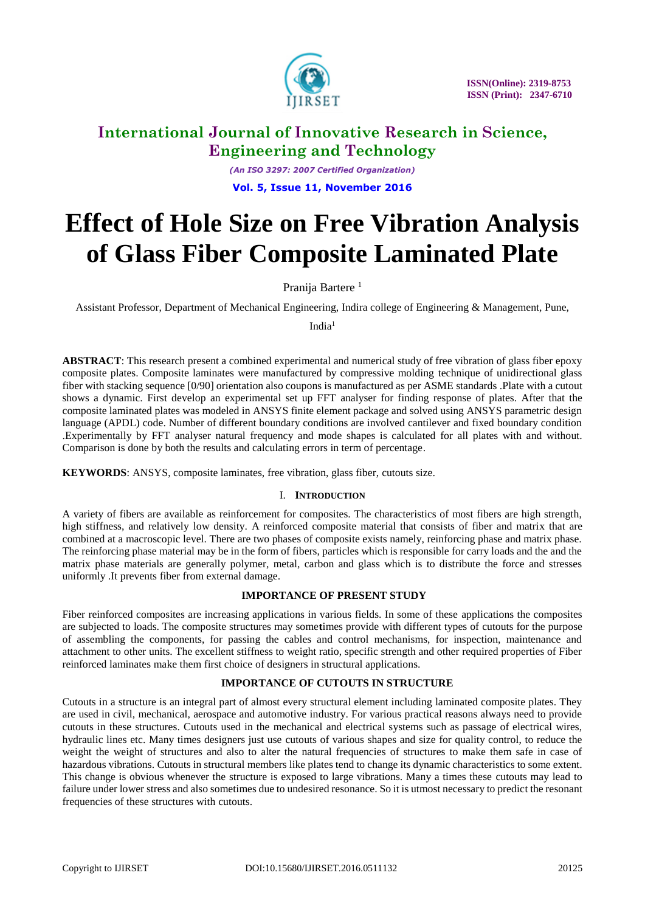

*(An ISO 3297: 2007 Certified Organization)* **Vol. 5, Issue 11, November 2016**

# **Effect of Hole Size on Free Vibration Analysis of Glass Fiber Composite Laminated Plate**

Pranija Bartere<sup>1</sup>

Assistant Professor, Department of Mechanical Engineering, Indira college of Engineering & Management, Pune,

India $1$ 

**ABSTRACT**: This research present a combined experimental and numerical study of free vibration of glass fiber epoxy composite plates. Composite laminates were manufactured by compressive molding technique of unidirectional glass fiber with stacking sequence [0/90] orientation also coupons is manufactured as per ASME standards .Plate with a cutout shows a dynamic. First develop an experimental set up FFT analyser for finding response of plates. After that the composite laminated plates was modeled in ANSYS finite element package and solved using ANSYS parametric design language (APDL) code. Number of different boundary conditions are involved cantilever and fixed boundary condition .Experimentally by FFT analyser natural frequency and mode shapes is calculated for all plates with and without. Comparison is done by both the results and calculating errors in term of percentage.

**KEYWORDS**: ANSYS, composite laminates, free vibration, glass fiber, cutouts size.

### I. **INTRODUCTION**

A variety of fibers are available as reinforcement for composites. The characteristics of most fibers are high strength, high stiffness, and relatively low density. A reinforced composite material that consists of fiber and matrix that are combined at a macroscopic level. There are two phases of composite exists namely, reinforcing phase and matrix phase. The reinforcing phase material may be in the form of fibers, particles which is responsible for carry loads and the and the matrix phase materials are generally polymer, metal, carbon and glass which is to distribute the force and stresses uniformly .It prevents fiber from external damage.

### **IMPORTANCE OF PRESENT STUDY**

Fiber reinforced composites are increasing applications in various fields. In some of these applications the composites are subjected to loads. The composite structures may some**t**imes provide with different types of cutouts for the purpose of assembling the components, for passing the cables and control mechanisms, for inspection, maintenance and attachment to other units. The excellent stiffness to weight ratio, specific strength and other required properties of Fiber reinforced laminates make them first choice of designers in structural applications.

### **IMPORTANCE OF CUTOUTS IN STRUCTURE**

Cutouts in a structure is an integral part of almost every structural element including laminated composite plates. They are used in civil, mechanical, aerospace and automotive industry. For various practical reasons always need to provide cutouts in these structures. Cutouts used in the mechanical and electrical systems such as passage of electrical wires, hydraulic lines etc. Many times designers just use cutouts of various shapes and size for quality control, to reduce the weight the weight of structures and also to alter the natural frequencies of structures to make them safe in case of hazardous vibrations. Cutouts in structural members like plates tend to change its dynamic characteristics to some extent. This change is obvious whenever the structure is exposed to large vibrations. Many a times these cutouts may lead to failure under lower stress and also sometimes due to undesired resonance. So it is utmost necessary to predict the resonant frequencies of these structures with cutouts.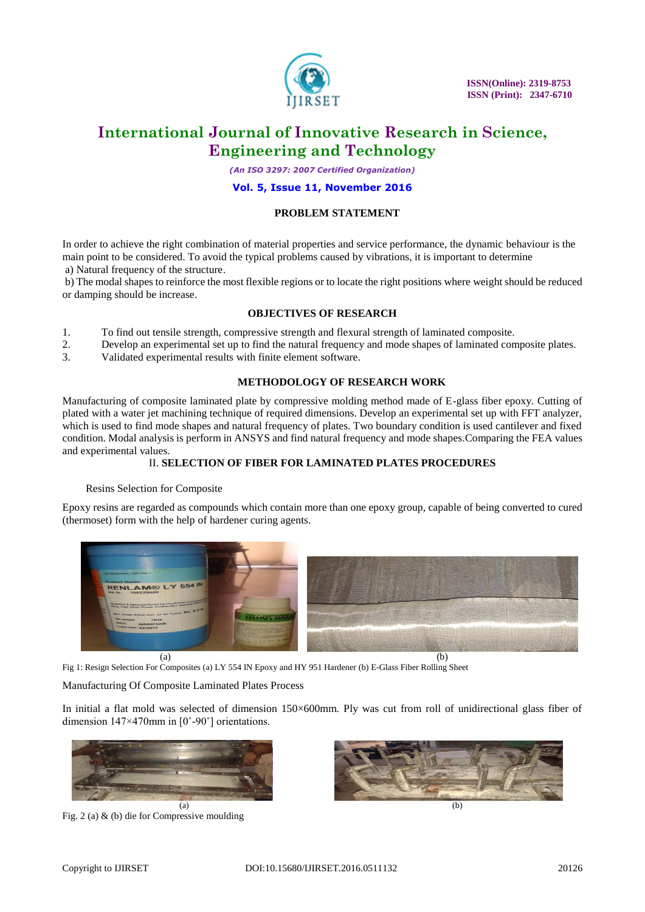

*(An ISO 3297: 2007 Certified Organization)*

### **Vol. 5, Issue 11, November 2016**

### **PROBLEM STATEMENT**

In order to achieve the right combination of material properties and service performance, the dynamic behaviour is the main point to be considered. To avoid the typical problems caused by vibrations, it is important to determine a) Natural frequency of the structure.

b) The modal shapes to reinforce the most flexible regions or to locate the right positions where weight should be reduced or damping should be increase.

### **OBJECTIVES OF RESEARCH**

- 1. To find out tensile strength, compressive strength and flexural strength of laminated composite.
- 2. Develop an experimental set up to find the natural frequency and mode shapes of laminated composite plates.
- 3. Validated experimental results with finite element software.

### **METHODOLOGY OF RESEARCH WORK**

Manufacturing of composite laminated plate by compressive molding method made of E-glass fiber epoxy. Cutting of plated with a water jet machining technique of required dimensions. Develop an experimental set up with FFT analyzer, which is used to find mode shapes and natural frequency of plates. Two boundary condition is used cantilever and fixed condition. Modal analysis is perform in ANSYS and find natural frequency and mode shapes.Comparing the FEA values and experimental values.

### II. **SELECTION OF FIBER FOR LAMINATED PLATES PROCEDURES**

### Resins Selection for Composite

Epoxy resins are regarded as compounds which contain more than one epoxy group, capable of being converted to cured (thermoset) form with the help of hardener curing agents.



Fig 1: Resign Selection For Composites (a) LY 554 IN Epoxy and HY 951 Hardener (b) E-Glass Fiber Rolling Sheet

### Manufacturing Of Composite Laminated Plates Process

In initial a flat mold was selected of dimension 150×600mm. Ply was cut from roll of unidirectional glass fiber of dimension 147×470mm in [0˚-90˚] orientations.



Fig. 2 (a) & (b) die for Compressive moulding

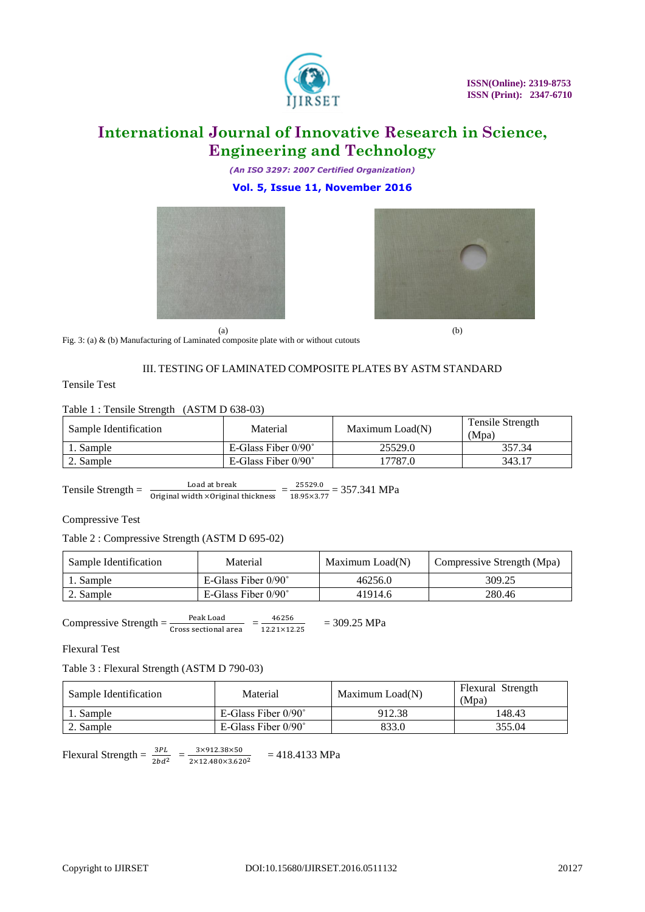

*(An ISO 3297: 2007 Certified Organization)* **Vol. 5, Issue 11, November 2016**





Fig. 3: (a) & (b) Manufacturing of Laminated composite plate with or without cutouts

### III. TESTING OF LAMINATED COMPOSITE PLATES BY ASTM STANDARD

Tensile Test

### Table 1 : Tensile Strength (ASTM D 638-03)

| Sample Identification | Material                   | Maximum Load(N) | Tensile Strength<br>(Mpa) |  |
|-----------------------|----------------------------|-----------------|---------------------------|--|
| Sample                | E-Glass Fiber $0/90^\circ$ | 25529.0         | 357.34                    |  |
| $\angle$ . Sample     | E-Glass Fiber $0/90^\circ$ | 17787.0         | 343.17                    |  |

Tensile Strength =  $\frac{\text{Load at break}}{\text{Original width} \times \text{Original thickness}} = \frac{25529.0}{18.95 \times 3.7}$  $\frac{23329.0}{18.95 \times 3.77} = 357.341 \text{ MPa}$ 

### Compressive Test

### Table 2 : Compressive Strength (ASTM D 695-02)

| Sample Identification | Material                   | Maximum Load(N) | Compressive Strength (Mpa) |
|-----------------------|----------------------------|-----------------|----------------------------|
| 1. Sample             | E-Glass Fiber $0/90^\circ$ | 46256.0         | 309.25                     |
| $\angle$ . Sample     | E-Glass Fiber $0/90^\circ$ | 41914.6         | 280.46                     |

Compressive Strength =  $\frac{\text{Peak Load}}{\text{Cross sectional area}} = \frac{46256}{12.21 \times 12}$  $\frac{46236}{12.21\times12.25}$  = 309.25 MPa

Flexural Test

Table 3 : Flexural Strength (ASTM D 790-03)

| Sample Identification | Material                   |        | Flexural Strength<br>(Mpa) |  |
|-----------------------|----------------------------|--------|----------------------------|--|
| 1. Sample             | E-Glass Fiber $0/90^\circ$ | 912.38 | 148.43                     |  |
| $\angle$ . Sample     | E-Glass Fiber $0/90^\circ$ | 833.0  | 355.04                     |  |

Flexural Strength =  $\frac{3PL}{2bd^2}$  =  $\frac{3\times912.38\times50}{2\times12.480\times3.62}$  $\frac{3\times912.38\times30}{2\times12.480\times3.620^2}$  = 418.4133 MPa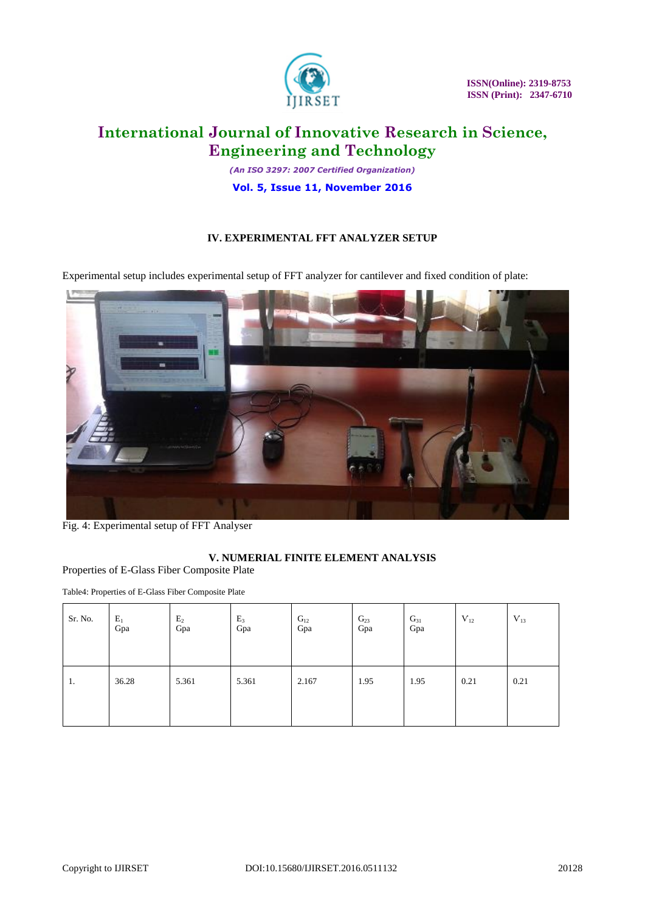

 **ISSN(Online): 2319-8753 ISSN (Print): 2347-6710** 

# **International Journal of Innovative Research in Science, Engineering and Technology**

*(An ISO 3297: 2007 Certified Organization)* **Vol. 5, Issue 11, November 2016**

### **IV. EXPERIMENTAL FFT ANALYZER SETUP**

Experimental setup includes experimental setup of FFT analyzer for cantilever and fixed condition of plate:



Fig. 4: Experimental setup of FFT Analyser

### **V. NUMERIAL FINITE ELEMENT ANALYSIS**

Properties of E-Glass Fiber Composite Plate

Table4: Properties of E-Glass Fiber Composite Plate

| Sr. No. | $E_1$<br>Gpa | E <sub>2</sub><br>Gpa | $E_3$<br>Gpa | $\mathrm{G}_{12}$<br>Gpa | $G_{23}$<br>Gpa | $G_{31}$<br>Gpa | $V_{12}$ | $V_{13}$ |
|---------|--------------|-----------------------|--------------|--------------------------|-----------------|-----------------|----------|----------|
| 1.      | 36.28        | 5.361                 | 5.361        | 2.167                    | 1.95            | 1.95            | 0.21     | 0.21     |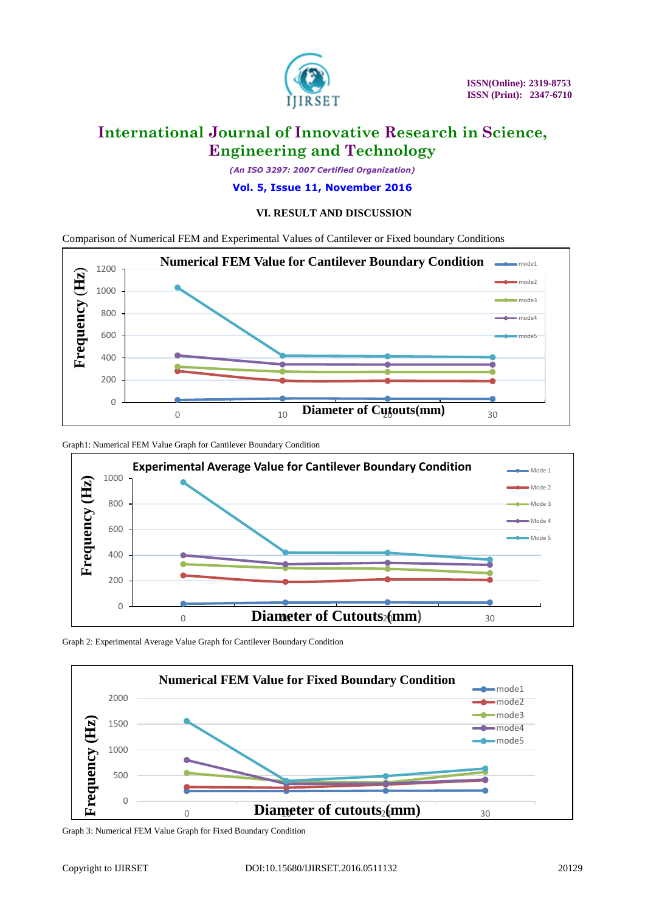

*(An ISO 3297: 2007 Certified Organization)*

**Vol. 5, Issue 11, November 2016**

### **VI. RESULT AND DISCUSSION**

Comparison of Numerical FEM and Experimental Values of Cantilever or Fixed boundary Conditions



Graph1: Numerical FEM Value Graph for Cantilever Boundary Condition



Graph 2: Experimental Average Value Graph for Cantilever Boundary Condition



Graph 3: Numerical FEM Value Graph for Fixed Boundary Condition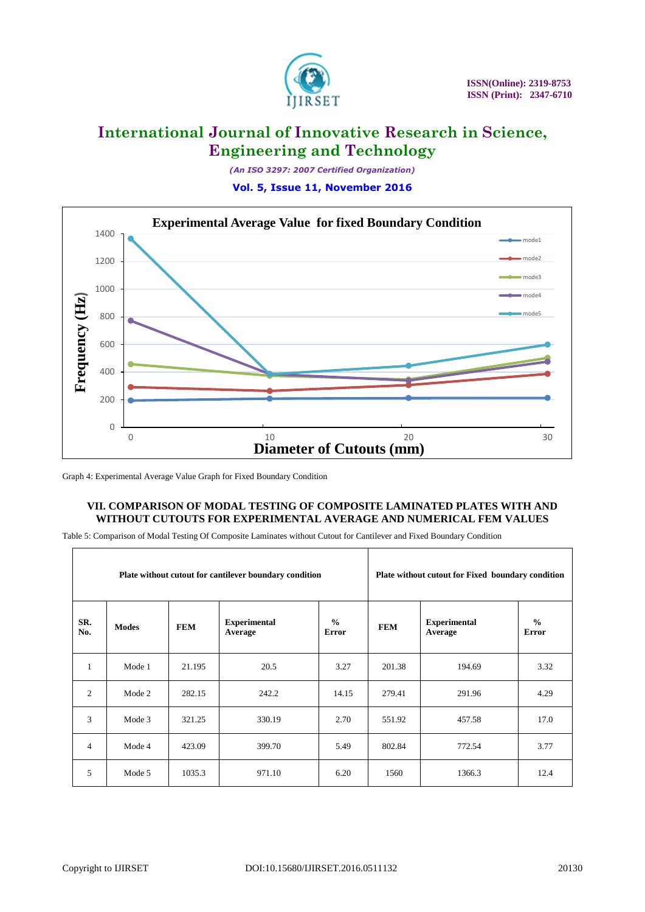

*(An ISO 3297: 2007 Certified Organization)* **Vol. 5, Issue 11, November 2016**



Graph 4: Experimental Average Value Graph for Fixed Boundary Condition

### **VII. COMPARISON OF MODAL TESTING OF COMPOSITE LAMINATED PLATES WITH AND WITHOUT CUTOUTS FOR EXPERIMENTAL AVERAGE AND NUMERICAL FEM VALUES**

Table 5: Comparison of Modal Testing Of Composite Laminates without Cutout for Cantilever and Fixed Boundary Condition

| Plate without cutout for cantilever boundary condition |              |            |                                |                               |            | Plate without cutout for Fixed boundary condition |                        |
|--------------------------------------------------------|--------------|------------|--------------------------------|-------------------------------|------------|---------------------------------------------------|------------------------|
| SR.<br>No.                                             | <b>Modes</b> | <b>FEM</b> | <b>Experimental</b><br>Average | $\frac{0}{0}$<br><b>Error</b> | <b>FEM</b> | <b>Experimental</b><br>Average                    | $\frac{6}{6}$<br>Error |
| 1                                                      | Mode 1       | 21.195     | 20.5                           | 3.27                          | 201.38     | 194.69                                            | 3.32                   |
| 2                                                      | Mode 2       | 282.15     | 242.2                          | 14.15                         | 279.41     | 291.96                                            | 4.29                   |
| 3                                                      | Mode 3       | 321.25     | 330.19                         | 2.70                          | 551.92     | 457.58                                            | 17.0                   |
| $\overline{4}$                                         | Mode 4       | 423.09     | 399.70                         | 5.49                          | 802.84     | 772.54                                            | 3.77                   |
| 5                                                      | Mode 5       | 1035.3     | 971.10                         | 6.20                          | 1560       | 1366.3                                            | 12.4                   |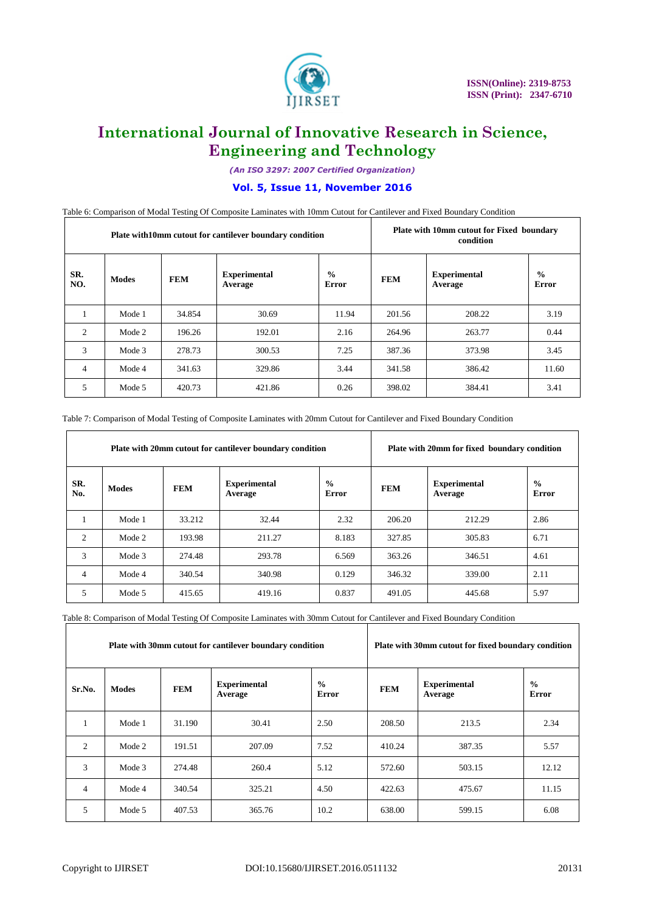

*(An ISO 3297: 2007 Certified Organization)*

### **Vol. 5, Issue 11, November 2016**

Table 6: Comparison of Modal Testing Of Composite Laminates with 10mm Cutout for Cantilever and Fixed Boundary Condition

| Plate with 10mm cutout for cantilever boundary condition |              |            |                                |                        |            | Plate with 10mm cutout for Fixed boundary<br>condition |                               |  |
|----------------------------------------------------------|--------------|------------|--------------------------------|------------------------|------------|--------------------------------------------------------|-------------------------------|--|
| SR.<br>NO.                                               | <b>Modes</b> | <b>FEM</b> | <b>Experimental</b><br>Average | $\frac{0}{0}$<br>Error | <b>FEM</b> | <b>Experimental</b><br>Average                         | $\frac{0}{0}$<br><b>Error</b> |  |
|                                                          | Mode 1       | 34.854     | 30.69                          | 11.94                  | 201.56     | 208.22                                                 | 3.19                          |  |
| 2                                                        | Mode 2       | 196.26     | 192.01                         | 2.16                   | 264.96     | 263.77                                                 | 0.44                          |  |
| 3                                                        | Mode 3       | 278.73     | 300.53                         | 7.25                   | 387.36     | 373.98                                                 | 3.45                          |  |
| $\overline{4}$                                           | Mode 4       | 341.63     | 329.86                         | 3.44                   | 341.58     | 386.42                                                 | 11.60                         |  |
| 5                                                        | Mode 5       | 420.73     | 421.86                         | 0.26                   | 398.02     | 384.41                                                 | 3.41                          |  |

|  | Table 7: Comparison of Modal Testing of Composite Laminates with 20mm Cutout for Cantilever and Fixed Boundary Condition |  |  |
|--|--------------------------------------------------------------------------------------------------------------------------|--|--|
|  |                                                                                                                          |  |  |

| Plate with 20mm cutout for cantilever boundary condition |              |            |                                |                        |            | Plate with 20mm for fixed boundary condition |                        |  |
|----------------------------------------------------------|--------------|------------|--------------------------------|------------------------|------------|----------------------------------------------|------------------------|--|
| SR.<br>No.                                               | <b>Modes</b> | <b>FEM</b> | <b>Experimental</b><br>Average | $\frac{0}{0}$<br>Error | <b>FEM</b> | <b>Experimental</b><br>Average               | $\frac{0}{0}$<br>Error |  |
|                                                          | Mode 1       | 33.212     | 32.44                          | 2.32                   | 206.20     | 212.29                                       | 2.86                   |  |
| 2                                                        | Mode 2       | 193.98     | 211.27                         | 8.183                  | 327.85     | 305.83                                       | 6.71                   |  |
| 3                                                        | Mode 3       | 274.48     | 293.78                         | 6.569                  | 363.26     | 346.51                                       | 4.61                   |  |
| $\overline{4}$                                           | Mode 4       | 340.54     | 340.98                         | 0.129                  | 346.32     | 339.00                                       | 2.11                   |  |
| 5                                                        | Mode 5       | 415.65     | 419.16                         | 0.837                  | 491.05     | 445.68                                       | 5.97                   |  |

Table 8: Comparison of Modal Testing Of Composite Laminates with 30mm Cutout for Cantilever and Fixed Boundary Condition

| Plate with 30mm cutout for cantilever boundary condition |              |            |                                |                               |            | Plate with 30mm cutout for fixed boundary condition |                        |  |
|----------------------------------------------------------|--------------|------------|--------------------------------|-------------------------------|------------|-----------------------------------------------------|------------------------|--|
| Sr.No.                                                   | <b>Modes</b> | <b>FEM</b> | <b>Experimental</b><br>Average | $\frac{0}{0}$<br><b>Error</b> | <b>FEM</b> | <b>Experimental</b><br>Average                      | $\frac{0}{0}$<br>Error |  |
| 1                                                        | Mode 1       | 31.190     | 30.41                          | 2.50                          | 208.50     | 213.5                                               | 2.34                   |  |
| 2                                                        | Mode 2       | 191.51     | 207.09                         | 7.52                          | 410.24     | 387.35                                              | 5.57                   |  |
| 3                                                        | Mode 3       | 274.48     | 260.4                          | 5.12                          | 572.60     | 503.15                                              | 12.12                  |  |
| $\overline{4}$                                           | Mode 4       | 340.54     | 325.21                         | 4.50                          | 422.63     | 475.67                                              | 11.15                  |  |
| 5                                                        | Mode 5       | 407.53     | 365.76                         | 10.2                          | 638.00     | 599.15                                              | 6.08                   |  |